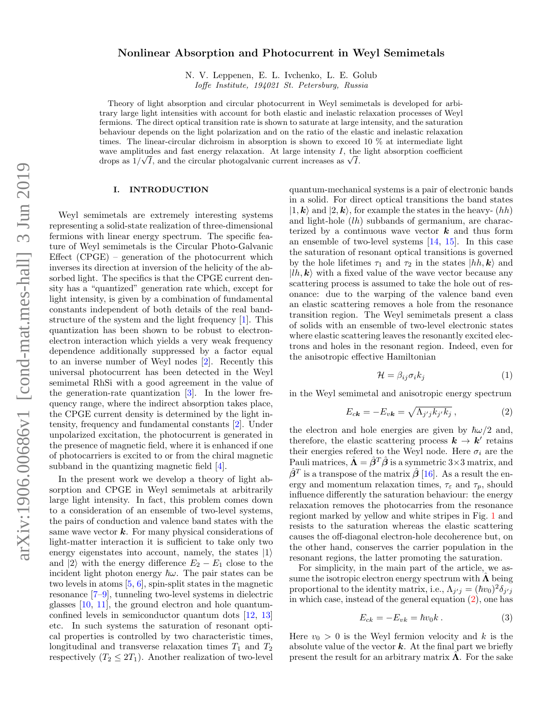# Nonlinear Absorption and Photocurrent in Weyl Semimetals

N. V. Leppenen, E. L. Ivchenko, L. E. Golub

Ioffe Institute, 194021 St. Petersburg, Russia

Theory of light absorption and circular photocurrent in Weyl semimetals is developed for arbitrary large light intensities with account for both elastic and inelastic relaxation processes of Weyl fermions. The direct optical transition rate is shown to saturate at large intensity, and the saturation behaviour depends on the light polarization and on the ratio of the elastic and inelastic relaxation times. The linear-circular dichroism in absorption is shown to exceed 10 % at intermediate light wave amplitudes and fast energy relaxation. At large intensity I, the light absorption coefficient wave amplitudes and tast energy relaxation. At large intensity 1, the drops as  $1/\sqrt{I}$ , and the circular photogalvanic current increases as  $\sqrt{I}$ .

# I. INTRODUCTION

Weyl semimetals are extremely interesting systems representing a solid-state realization of three-dimensional fermions with linear energy spectrum. The specific feature of Weyl semimetals is the Circular Photo-Galvanic Effect (CPGE) – generation of the photocurrent which inverses its direction at inversion of the helicity of the absorbed light. The specifics is that the CPGE current density has a "quantized" generation rate which, except for light intensity, is given by a combination of fundamental constants independent of both details of the real bandstructure of the system and the light frequency [\[1\]](#page-5-0). This quantization has been shown to be robust to electronelectron interaction which yields a very weak frequency dependence additionally suppressed by a factor equal to an inverse number of Weyl nodes [\[2\]](#page-5-1). Recently this universal photocurrent has been detected in the Weyl semimetal RhSi with a good agreement in the value of the generation-rate quantization [\[3\]](#page-5-2). In the lower frequency range, where the indirect absorption takes place, the CPGE current density is determined by the light intensity, frequency and fundamental constants [\[2\]](#page-5-1). Under unpolarized excitation, the photocurrent is generated in the presence of magnetic field, where it is enhanced if one of photocarriers is excited to or from the chiral magnetic subband in the quantizing magnetic field [\[4\]](#page-5-3).

In the present work we develop a theory of light absorption and CPGE in Weyl semimetals at arbitrarily large light intensity. In fact, this problem comes down to a consideration of an ensemble of two-level systems, the pairs of conduction and valence band states with the same wave vector  $k$ . For many physical considerations of light-matter interaction it is sufficient to take only two energy eigenstates into account, namely, the states  $|1\rangle$ and  $|2\rangle$  with the energy difference  $E_2 - E_1$  close to the incident light photon energy  $\hbar\omega$ . The pair states can be two levels in atoms [\[5,](#page-5-4) [6\]](#page-5-5), spin-split states in the magnetic resonance [\[7](#page-5-6)[–9\]](#page-5-7), tunneling two-level systems in dielectric glasses [\[10,](#page-5-8) [11\]](#page-5-9), the ground electron and hole quantumconfined levels in semiconductor quantum dots [\[12,](#page-5-10) [13\]](#page-5-11) etc. In such systems the saturation of resonant optical properties is controlled by two characteristic times, longitudinal and transverse relaxation times  $T_1$  and  $T_2$ respectively  $(T_2 \leq 2T_1)$ . Another realization of two-level quantum-mechanical systems is a pair of electronic bands in a solid. For direct optical transitions the band states  $|1, \mathbf{k}\rangle$  and  $|2, \mathbf{k}\rangle$ , for example the states in the heavy-  $(hh)$ and light-hole (lh) subbands of germanium, are characterized by a continuous wave vector  $k$  and thus form an ensemble of two-level systems [\[14,](#page-5-12) [15\]](#page-5-13). In this case the saturation of resonant optical transitions is governed by the hole lifetimes  $\tau_1$  and  $\tau_2$  in the states  $|h h, k\rangle$  and  $|h, \mathbf{k}\rangle$  with a fixed value of the wave vector because any scattering process is assumed to take the hole out of resonance: due to the warping of the valence band even an elastic scattering removes a hole from the resonance transition region. The Weyl semimetals present a class of solids with an ensemble of two-level electronic states where elastic scattering leaves the resonantly excited electrons and holes in the resonant region. Indeed, even for the anisotropic effective Hamiltonian

<span id="page-0-1"></span>
$$
\mathcal{H} = \beta_{ij}\sigma_i k_j \tag{1}
$$

in the Weyl semimetal and anisotropic energy spectrum

<span id="page-0-0"></span>
$$
E_{c\mathbf{k}} = -E_{v\mathbf{k}} = \sqrt{\Lambda_{j'j}k_{j'}k_j} \,, \tag{2}
$$

the electron and hole energies are given by  $\hbar\omega/2$  and, therefore, the elastic scattering process  $k \to k'$  retains their energies refered to the Weyl node. Here  $\sigma_i$  are the Pauli matrices,  $\hat{\mathbf{\Lambda}} = \hat{\boldsymbol{\beta}}^T \hat{\boldsymbol{\beta}}$  is a symmetric 3×3 matrix, and  $\hat{\boldsymbol{\beta}}^T$  is a transpose of the matrix  $\hat{\boldsymbol{\beta}}$  [\[16\]](#page-5-14). As a result the energy and momentum relaxation times,  $\tau_{\varepsilon}$  and  $\tau_{p}$ , should influence differently the saturation behaviour: the energy relaxation removes the photocarries from the resonance regiont marked by yellow and white stripes in Fig. [1](#page-1-0) and resists to the saturation whereas the elastic scattering causes the off-diagonal electron-hole decoherence but, on the other hand, conserves the carrier population in the resonant regions, the latter promoting the saturation.

For simplicity, in the main part of the article, we assume the isotropic electron energy spectrum with  $\hat{\mathbf{\Lambda}}$  being proportional to the identity matrix, i.e.,  $\Lambda_{j'j} = (\hbar v_0)^2 \delta_{j'j}$ in which case, instead of the general equation [\(2\)](#page-0-0), one has

$$
E_{ck} = -E_{vk} = \hbar v_0 k . \qquad (3)
$$

Here  $v_0 > 0$  is the Weyl fermion velocity and k is the absolute value of the vector  $k$ . At the final part we briefly present the result for an arbitrary matrix  $\Lambda$ . For the sake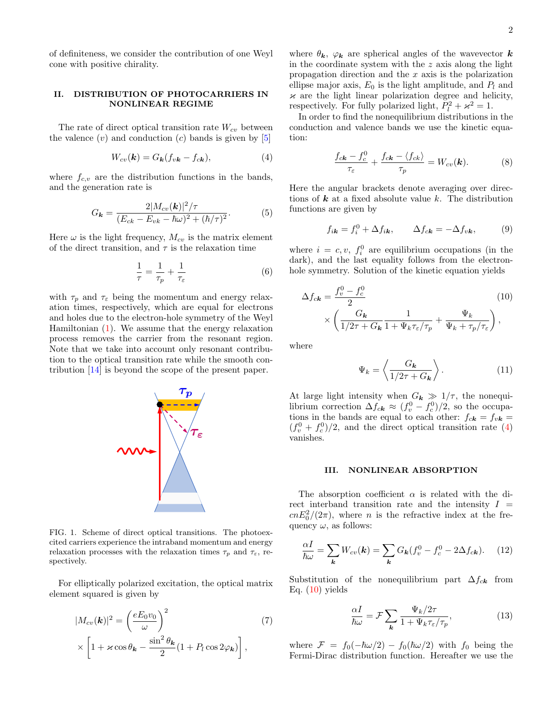of definiteness, we consider the contribution of one Weyl cone with positive chirality.

# II. DISTRIBUTION OF PHOTOCARRIERS IN NONLINEAR REGIME

The rate of direct optical transition rate  $W_{cv}$  between the valence  $(v)$  and conduction  $(c)$  bands is given by  $[5]$ 

<span id="page-1-1"></span>
$$
W_{cv}(\mathbf{k}) = G_{\mathbf{k}}(f_{v\mathbf{k}} - f_{c\mathbf{k}}), \tag{4}
$$

where  $f_{c,v}$  are the distribution functions in the bands, and the generation rate is

<span id="page-1-3"></span>
$$
G_{\mathbf{k}} = \frac{2|M_{cv}(\mathbf{k})|^2/\tau}{(E_{ck} - E_{vk} - \hbar\omega)^2 + (\hbar/\tau)^2}.
$$
 (5)

Here  $\omega$  is the light frequency,  $M_{cv}$  is the matrix element of the direct transition, and  $\tau$  is the relaxation time

$$
\frac{1}{\tau} = \frac{1}{\tau_p} + \frac{1}{\tau_{\varepsilon}}\tag{6}
$$

with  $\tau_p$  and  $\tau_{\varepsilon}$  being the momentum and energy relaxation times, respectively, which are equal for electrons and holes due to the electron-hole symmetry of the Weyl Hamiltonian [\(1\)](#page-0-1). We assume that the energy relaxation process removes the carrier from the resonant region. Note that we take into account only resonant contribution to the optical transition rate while the smooth contribution [\[14\]](#page-5-12) is beyond the scope of the present paper.



<span id="page-1-0"></span>FIG. 1. Scheme of direct optical transitions. The photoexcited carriers experience the intraband momentum and energy relaxation processes with the relaxation times  $\tau_p$  and  $\tau_{\varepsilon}$ , respectively.

For elliptically polarized excitation, the optical matrix element squared is given by

$$
|M_{cv}(\mathbf{k})|^2 = \left(\frac{eE_0v_0}{\omega}\right)^2 \tag{7}
$$

$$
\times \left[1 + \varkappa \cos \theta_{\mathbf{k}} - \frac{\sin^2 \theta_{\mathbf{k}}}{2} (1 + P_l \cos 2\varphi_{\mathbf{k}})\right],
$$

where  $\theta_{\mathbf{k}}, \varphi_{\mathbf{k}}$  are spherical angles of the wavevector  $\mathbf{k}$ in the coordinate system with the z axis along the light propagation direction and the  $x$  axis is the polarization ellipse major axis,  $E_0$  is the light amplitude, and  $P_l$  and  $\varkappa$  are the light linear polarization degree and helicity, respectively. For fully polarized light,  $\tilde{P}_l^2 + \varkappa^2 = 1$ .

In order to find the nonequilibrium distributions in the conduction and valence bands we use the kinetic equation:

<span id="page-1-6"></span>
$$
\frac{f_{c\mathbf{k}} - f_c^0}{\tau_{\varepsilon}} + \frac{f_{c\mathbf{k}} - \langle f_{c\mathbf{k}} \rangle}{\tau_p} = W_{cv}(\mathbf{k}).\tag{8}
$$

Here the angular brackets denote averaging over directions of  $k$  at a fixed absolute value k. The distribution functions are given by

$$
f_{i\mathbf{k}} = f_i^0 + \Delta f_{i\mathbf{k}}, \qquad \Delta f_{c\mathbf{k}} = -\Delta f_{v\mathbf{k}}, \tag{9}
$$

where  $i = c, v, f_i^0$  are equilibrium occupations (in the dark), and the last equality follows from the electronhole symmetry. Solution of the kinetic equation yields

$$
\Delta f_{c\mathbf{k}} = \frac{f_v^0 - f_c^0}{2} \qquad (10)
$$

$$
\times \left( \frac{G_{\mathbf{k}}}{1/2\tau + G_{\mathbf{k}}} \frac{1}{1 + \Psi_k \tau_{\varepsilon}/\tau_p} + \frac{\Psi_k}{\Psi_k + \tau_p/\tau_{\varepsilon}} \right),
$$

where

<span id="page-1-5"></span><span id="page-1-2"></span>
$$
\Psi_k = \left\langle \frac{G_k}{1/2\tau + G_k} \right\rangle. \tag{11}
$$

At large light intensity when  $G_k \gg 1/\tau$ , the nonequilibrium correction  $\Delta f_{ck} \approx (f_v^0 - f_c^0)/2$ , so the occupations in the bands are equal to each other:  $f_{c\mathbf{k}} = f_{v\mathbf{k}} =$  $(f_v^0 + f_c^0)/2$ , and the direct optical transition rate [\(4\)](#page-1-1) vanishes.

#### III. NONLINEAR ABSORPTION

The absorption coefficient  $\alpha$  is related with the direct interband transition rate and the intensity  $I =$  $cnE_0^2/(2\pi)$ , where *n* is the refractive index at the frequency  $\omega$ , as follows:

$$
\frac{\alpha I}{\hbar \omega} = \sum_{\mathbf{k}} W_{cv}(\mathbf{k}) = \sum_{\mathbf{k}} G_{\mathbf{k}} (f_v^0 - f_c^0 - 2\Delta f_{ck}). \tag{12}
$$

Substitution of the nonequilibrium part  $\Delta f_{ck}$  from Eq.  $(10)$  yields

$$
\frac{\alpha I}{\hbar \omega} = \mathcal{F} \sum_{\mathbf{k}} \frac{\Psi_k / 2\tau}{1 + \Psi_k \tau_\varepsilon / \tau_p},\tag{13}
$$

<span id="page-1-4"></span>where  $\mathcal{F} = f_0(-\hbar\omega/2) - f_0(\hbar\omega/2)$  with  $f_0$  being the Fermi-Dirac distribution function. Hereafter we use the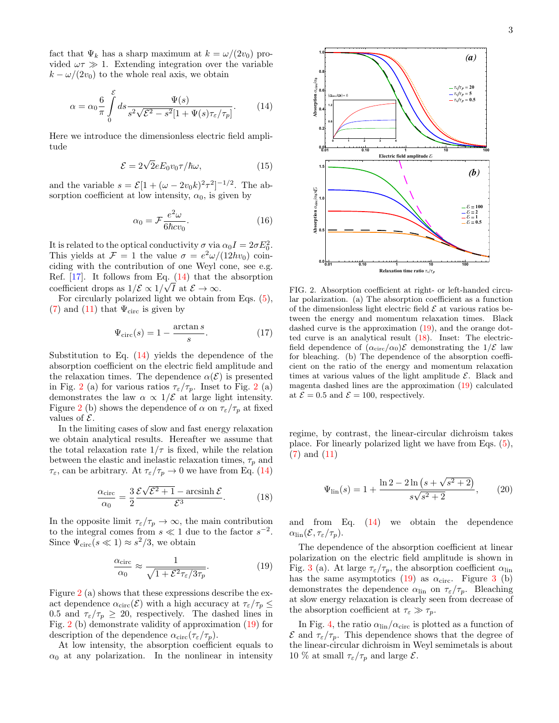fact that  $\Psi_k$  has a sharp maximum at  $k = \omega/(2v_0)$  provided  $\omega \tau \gg 1$ . Extending integration over the variable  $k - \omega/(2v_0)$  to the whole real axis, we obtain

<span id="page-2-0"></span>
$$
\alpha = \alpha_0 \frac{6}{\pi} \int_0^{\mathcal{E}} ds \frac{\Psi(s)}{s^2 \sqrt{\mathcal{E}^2 - s^2} [1 + \Psi(s)\tau_{\varepsilon}/\tau_p]}.
$$
 (14)

Here we introduce the dimensionless electric field amplitude

$$
\mathcal{E} = 2\sqrt{2}eE_0v_0\tau/\hbar\omega,\tag{15}
$$

and the variable  $s = \mathcal{E}[1 + (\omega - 2v_0k)^2 \tau^2]^{-1/2}$ . The absorption coefficient at low intensity,  $\alpha_0$ , is given by

<span id="page-2-4"></span>
$$
\alpha_0 = \mathcal{F} \frac{e^2 \omega}{6\hbar c v_0}.\tag{16}
$$

It is related to the optical conductivity  $\sigma$  via  $\alpha_0 I = 2\sigma E_0^2$ . This yields at  $\mathcal{F} = 1$  the value  $\sigma = e^2 \omega / (12hv_0)$  coinciding with the contribution of one Weyl cone, see e.g. Ref. [\[17\]](#page-5-15). It follows from Eq.  $(14)$  that the absorption coefficient drops as  $1/\mathcal{E} \propto 1/\sqrt{I}$  at  $\mathcal{E} \to \infty$ .

For circularly polarized light we obtain from Eqs. [\(5\)](#page-1-3), [\(7\)](#page-1-4) and [\(11\)](#page-1-5) that  $\Psi_{\rm circ}$  is given by

$$
\Psi_{\rm circ}(s) = 1 - \frac{\arctan s}{s}.\tag{17}
$$

Substitution to Eq.  $(14)$  yields the dependence of the absorption coefficient on the electric field amplitude and the relaxation times. The dependence  $\alpha(\mathcal{E})$  is presented in Fig. [2](#page-2-1) (a) for various ratios  $\tau_{\varepsilon}/\tau_p$ . Inset to Fig. 2 (a) demonstrates the law  $\alpha \propto 1/\mathcal{E}$  at large light intensity. Figure [2](#page-2-1) (b) shows the dependence of  $\alpha$  on  $\tau_{\varepsilon}/\tau_p$  at fixed values of  $\mathcal{E}$ .

In the limiting cases of slow and fast energy relaxation we obtain analytical results. Hereafter we assume that the total relaxation rate  $1/\tau$  is fixed, while the relation between the elastic and inelastic relaxation times,  $\tau_p$  and  $\tau_{\varepsilon}$ , can be arbitrary. At  $\tau_{\varepsilon}/\tau_p \to 0$  we have from Eq. [\(14\)](#page-2-0)

<span id="page-2-3"></span>
$$
\frac{\alpha_{\text{circ}}}{\alpha_0} = \frac{3}{2} \frac{\mathcal{E}\sqrt{\mathcal{E}^2 + 1} - \operatorname{arcsinh}\mathcal{E}}{\mathcal{E}^3}.
$$
 (18)

In the opposite limit  $\tau_{\varepsilon}/\tau_p \to \infty$ , the main contribution to the integral comes from  $s \ll 1$  due to the factor  $s^{-2}$ . Since  $\Psi_{\rm circ}(s \ll 1) \approx s^2/3$ , we obtain

<span id="page-2-2"></span>
$$
\frac{\alpha_{\text{circ}}}{\alpha_0} \approx \frac{1}{\sqrt{1 + \mathcal{E}^2 \tau_\varepsilon / 3\tau_p}}.\tag{19}
$$

Figure [2](#page-2-1) (a) shows that these expressions describe the exact dependence  $\alpha_{\rm circ}(\mathcal{E})$  with a high accuracy at  $\tau_{\varepsilon}/\tau_p \leq$ 0.5 and  $\tau_{\varepsilon}/\tau_p \geq 20$ , respectively. The dashed lines in Fig. [2](#page-2-1) (b) demonstrate validity of approximation [\(19\)](#page-2-2) for description of the dependence  $\alpha_{\rm circ}(\tau_{\varepsilon}/\tau_p)$ .

At low intensity, the absorption coefficient equals to  $\alpha_0$  at any polarization. In the nonlinear in intensity



**0.6 1.2**

**0.2**

**0.5**

**Absorption**

α**circ**/α **0**×

**1.0**

**1.5**

**0.4**

**Absorption**

α**circ** / α**0**

**0.6**

**0.8**

**1.0**

FIG. 2. Absorption coefficient at right- or left-handed circular polarization. (a) The absorption coefficient as a function of the dimensionless light electric field  $\mathcal E$  at various ratios between the energy and momentum relaxation times. Black dashed curve is the approximation [\(19\)](#page-2-2), and the orange dotted curve is an analytical result [\(18\)](#page-2-3). Inset: The electricfield dependence of  $(\alpha_{\rm circ}/\alpha_0)\mathcal{E}$  demonstrating the  $1/\mathcal{E}$  law for bleaching. (b) The dependence of the absorption coefficient on the ratio of the energy and momentum relaxation times at various values of the light amplitude  $\mathcal{E}$ . Black and magenta dashed lines are the approximation [\(19\)](#page-2-2) calculated at  $\mathcal{E} = 0.5$  and  $\mathcal{E} = 100$ , respectively.

<span id="page-2-1"></span>**0.01 0.10 <sup>1</sup> <sup>10</sup> <sup>100</sup> 0.0**

**Relaxation time ratio** τϵ/τ*<sup>p</sup>*

regime, by contrast, the linear-circular dichroism takes place. For linearly polarized light we have from Eqs. [\(5\)](#page-1-3), [\(7\)](#page-1-4) and [\(11\)](#page-1-5)

$$
\Psi_{\rm lin}(s) = 1 + \frac{\ln 2 - 2\ln\left(s + \sqrt{s^2 + 2}\right)}{s\sqrt{s^2 + 2}},\qquad(20)
$$

and from Eq. [\(14\)](#page-2-0) we obtain the dependence  $\alpha_{\rm lin}(\mathcal{E}, \tau_{\varepsilon}/\tau_p)$ .

The dependence of the absorption coefficient at linear polarization on the electric field amplitude is shown in Fig. [3](#page-3-0) (a). At large  $\tau_\varepsilon/\tau_p,$  the absorption coefficient  $\alpha_{\mathrm{lin}}$ has the same asymptotics  $(19)$  as  $\alpha_{\text{circ}}$ . Figure [3](#page-3-0) (b) demonstrates the dependence  $\alpha_{lin}$  on  $\tau_{\varepsilon}/\tau_p$ . Bleaching at slow energy relaxation is clearly seen from decrease of the absorption coefficient at  $\tau_{\varepsilon} \gg \tau_p$ .

In Fig. [4,](#page-3-1) the ratio  $\alpha_{\text{lin}}/\alpha_{\text{circ}}$  is plotted as a function of  $\mathcal E$  and  $\tau_{\varepsilon}/\tau_p$ . This dependence shows that the degree of the linear-circular dichroism in Weyl semimetals is about 10 % at small  $\tau_{\varepsilon}/\tau_p$  and large  $\mathcal{E}$ .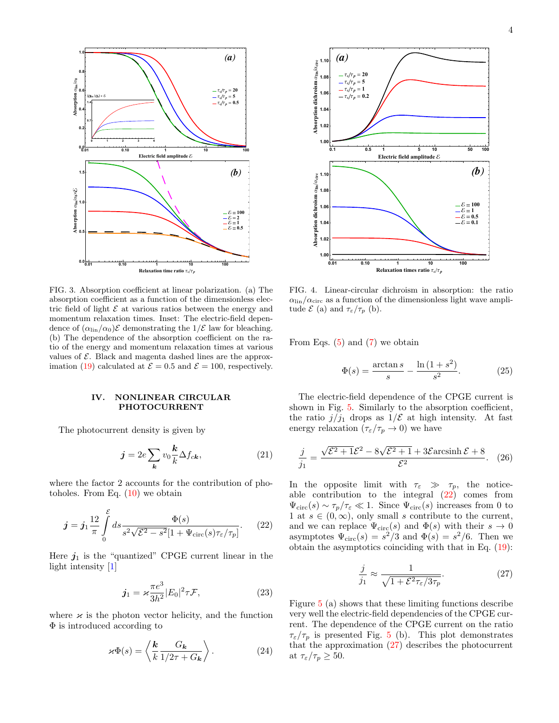

<span id="page-3-0"></span>FIG. 3. Absorption coefficient at linear polarization. (a) The absorption coefficient as a function of the dimensionless electric field of light  $\mathcal E$  at various ratios between the energy and momentum relaxation times. Inset: The electric-field dependence of  $(\alpha_{\text{lin}}/\alpha_0)\mathcal{E}$  demonstrating the  $1/\mathcal{E}$  law for bleaching. (b) The dependence of the absorption coefficient on the ratio of the energy and momentum relaxation times at various values of  $\mathcal{E}$ . Black and magenta dashed lines are the approx-imation [\(19\)](#page-2-2) calculated at  $\mathcal{E} = 0.5$  and  $\mathcal{E} = 100$ , respectively.

## IV. NONLINEAR CIRCULAR PHOTOCURRENT

The photocurrent density is given by

$$
\mathbf{j} = 2e \sum_{\mathbf{k}} v_0 \frac{\mathbf{k}}{k} \Delta f_{c\mathbf{k}},\tag{21}
$$

where the factor 2 accounts for the contribution of photoholes. From Eq.  $(10)$  we obtain

<span id="page-3-2"></span>
$$
\boldsymbol{j} = \boldsymbol{j}_1 \frac{12}{\pi} \int_0^{\mathcal{E}} ds \frac{\Phi(s)}{s^2 \sqrt{\mathcal{E}^2 - s^2} [1 + \Psi_{\text{circ}}(s)\tau_{\varepsilon}/\tau_p]}.
$$
 (22)

Here  $j_1$  is the "quantized" CPGE current linear in the light intensity [\[1\]](#page-5-0)

<span id="page-3-5"></span>
$$
\boldsymbol{j}_1 = \varkappa \frac{\pi e^3}{3h^2} |E_0|^2 \tau \mathcal{F},\tag{23}
$$

where  $\varkappa$  is the photon vector helicity, and the function Φ is introduced according to

$$
\varkappa \Phi(s) = \left\langle \frac{\mathbf{k}}{k} \frac{G_{\mathbf{k}}}{1/2\tau + G_{\mathbf{k}}} \right\rangle.
$$
 (24)



<span id="page-3-1"></span>FIG. 4. Linear-circular dichroism in absorption: the ratio  $\alpha_{\text{lin}}/\alpha_{\text{circ}}$  as a function of the dimensionless light wave amplitude  $\mathcal{E}$  (a) and  $\tau_{\varepsilon}/\tau_{p}$  (b).

From Eqs. [\(5\)](#page-1-3) and [\(7\)](#page-1-4) we obtain

$$
\Phi(s) = \frac{\arctan s}{s} - \frac{\ln(1+s^2)}{s^2}.
$$
 (25)

The electric-field dependence of the CPGE current is shown in Fig. [5.](#page-4-0) Similarly to the absorption coefficient, the ratio  $j/j_1$  drops as  $1/\mathcal{E}$  at high intensity. At fast energy relaxation  $(\tau_{\varepsilon}/\tau_p \to 0)$  we have

<span id="page-3-4"></span>
$$
\frac{j}{j_1} = \frac{\sqrt{\mathcal{E}^2 + 1\mathcal{E}^2 - 8\sqrt{\mathcal{E}^2 + 1} + 3\mathcal{E}\arcsinh\,\mathcal{E} + 8}}{\mathcal{E}^2}.
$$
 (26)

In the opposite limit with  $\tau_{\varepsilon} \gg \tau_p$ , the noticeable contribution to the integral  $(22)$  comes from  $\Psi_{\rm circ}(s) \sim \tau_p/\tau_{\varepsilon} \ll 1$ . Since  $\Psi_{\rm circ}(s)$  increases from 0 to 1 at  $s \in (0, \infty)$ , only small s contribute to the current, and we can replace  $\Psi_{\rm circ}(s)$  and  $\Phi(s)$  with their  $s \to 0$ asymptotes  $\Psi_{\rm circ}(s) = s^2/3$  and  $\Phi(s) = s^2/6$ . Then we obtain the asymptotics coinciding with that in Eq. [\(19\)](#page-2-2):

<span id="page-3-3"></span>
$$
\frac{j}{j_1} \approx \frac{1}{\sqrt{1 + \mathcal{E}^2 \tau_\varepsilon / 3\tau_p}}.\tag{27}
$$

Figure [5](#page-4-0) (a) shows that these limiting functions describe very well the electric-field dependencies of the CPGE current. The dependence of the CPGE current on the ratio  $\tau_{\varepsilon}/\tau_p$  is presented Fig. [5](#page-4-0) (b). This plot demonstrates that the approximation [\(27\)](#page-3-3) describes the photocurrent at  $\tau_{\varepsilon}/\tau_p \geq 50$ .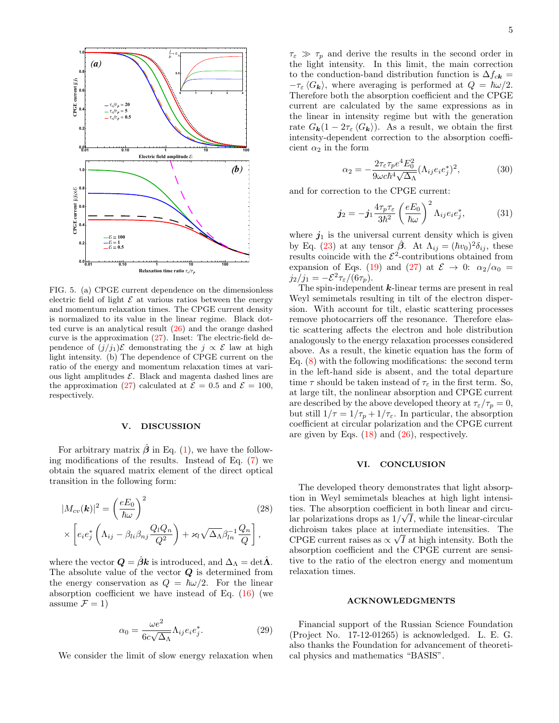

<span id="page-4-0"></span>FIG. 5. (a) CPGE current dependence on the dimensionless electric field of light  $\mathcal E$  at various ratios between the energy and momentum relaxation times. The CPGE current density is normalized to its value in the linear regime. Black dotted curve is an analytical result [\(26\)](#page-3-4) and the orange dashed curve is the approximation  $(27)$ . Inset: The electric-field dependence of  $(j/j_1)\mathcal{E}$  demonstrating the  $j \propto \mathcal{E}$  law at high light intensity. (b) The dependence of CPGE current on the ratio of the energy and momentum relaxation times at various light amplitudes  $\mathcal{E}$ . Black and magenta dashed lines are the approximation [\(27\)](#page-3-3) calculated at  $\mathcal{E} = 0.5$  and  $\mathcal{E} = 100$ . respectively.

#### V. DISCUSSION

For arbitrary matrix  $\hat{\beta}$  in Eq. [\(1\)](#page-0-1), we have the following modifications of the results. Instead of Eq. [\(7\)](#page-1-4) we obtain the squared matrix element of the direct optical transition in the following form:

$$
|M_{cv}(\mathbf{k})|^2 = \left(\frac{eE_0}{\hbar\omega}\right)^2 \qquad (28)
$$
  
 
$$
\times \left[e_i e_j^* \left(\Lambda_{ij} - \beta_{li} \beta_{nj} \frac{Q_l Q_n}{Q^2}\right) + \varkappa_l \sqrt{\Delta_{\Lambda}} \beta_{ln}^{-1} \frac{Q_n}{Q}\right],
$$

where the vector  $\mathbf{Q} = \hat{\beta} \mathbf{k}$  is introduced, and  $\Delta_{\Lambda} = \det \hat{\mathbf{\Lambda}}$ . The absolute value of the vector  $Q$  is determined from the energy conservation as  $Q = \hbar \omega/2$ . For the linear absorption coefficient we have instead of Eq. [\(16\)](#page-2-4) (we assume  $\mathcal{F} = 1$ )

$$
\alpha_0 = \frac{\omega e^2}{6c\sqrt{\Delta_{\Lambda}}} \Lambda_{ij} e_i e_j^*.
$$
 (29)

We consider the limit of slow energy relaxation when

 $\tau_{\varepsilon} \gg \tau_p$  and derive the results in the second order in the light intensity. In this limit, the main correction to the conduction-band distribution function is  $\Delta f_{ck}$  =  $-\tau_{\varepsilon} \langle G_{\mathbf{k}} \rangle$ , where averaging is performed at  $Q = \hbar \omega/2$ . Therefore both the absorption coefficient and the CPGE current are calculated by the same expressions as in the linear in intensity regime but with the generation rate  $G_{\mathbf{k}}(1 - 2\tau_{\varepsilon} \langle G_{\mathbf{k}} \rangle)$ . As a result, we obtain the first intensity-dependent correction to the absorption coefficient  $\alpha_2$  in the form

$$
\alpha_2 = -\frac{2\tau_\varepsilon\tau_p e^4 E_0^2}{9\omega c\hbar^4 \sqrt{\Delta_\Lambda}} (\Lambda_{ij} e_i e_j^*)^2,\tag{30}
$$

and for correction to the CPGE current:

$$
\boldsymbol{j}_2 = -\boldsymbol{j}_1 \frac{4\tau_p \tau_\varepsilon}{3\hbar^2} \left(\frac{eE_0}{\hbar \omega}\right)^2 \Lambda_{ij} e_i e_j^*, \tag{31}
$$

where  $j_1$  is the universal current density which is given by Eq. [\(23\)](#page-3-5) at any tensor  $\hat{\beta}$ . At  $\Lambda_{ij} = (\hbar v_0)^2 \delta_{ij}$ , these results coincide with the  $\mathcal{E}^2$ -contributions obtained from expansion of Eqs. [\(19\)](#page-2-2) and [\(27\)](#page-3-3) at  $\mathcal{E} \rightarrow 0$ :  $\alpha_2/\alpha_0 =$  $j_2/j_1 = -\mathcal{E}^2 \tau_{\varepsilon}/(6\tau_p).$ 

The spin-independent  $k$ -linear terms are present in real Weyl semimetals resulting in tilt of the electron dispersion. With account for tilt, elastic scattering processes remove photocarriers off the resonance. Therefore elastic scattering affects the electron and hole distribution analogously to the energy relaxation processes considered above. As a result, the kinetic equation has the form of Eq. [\(8\)](#page-1-6) with the following modifications: the second term in the left-hand side is absent, and the total departure time  $\tau$  should be taken instead of  $\tau_{\varepsilon}$  in the first term. So, at large tilt, the nonlinear absorption and CPGE current are described by the above developed theory at  $\tau_{\varepsilon}/\tau_p = 0$ , but still  $1/\tau = 1/\tau_p + 1/\tau_{\epsilon}$ . In particular, the absorption coefficient at circular polarization and the CPGE current are given by Eqs. [\(18\)](#page-2-3) and [\(26\)](#page-3-4), respectively.

## VI. CONCLUSION

The developed theory demonstrates that light absorption in Weyl semimetals bleaches at high light intensities. The absorption coefficient in both linear and circular polarizations drops as  $1/\sqrt{I}$ , while the linear-circular dichroism takes place at intermediate intensities. The √ CPGE current raises as  $\propto \sqrt{I}$  at high intensity. Both the absorption coefficient and the CPGE current are sensitive to the ratio of the electron energy and momentum relaxation times.

### ACKNOWLEDGMENTS

Financial support of the Russian Science Foundation (Project No. 17-12-01265) is acknowledged. L. E. G. also thanks the Foundation for advancement of theoretical physics and mathematics "BASIS".